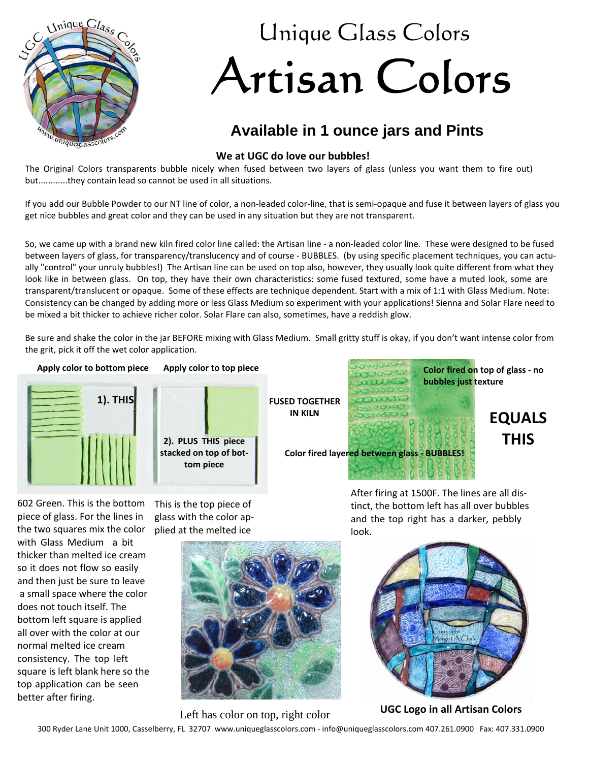

## Unique Glass Colors Artisan Colors

## **Available in 1 ounce jars and Pints**

## **We at UGC do love our bubbles!**

The Original Colors transparents bubble nicely when fused between two layers of glass (unless you want them to fire out) but............they contain lead so cannot be used in all situations.

If you add our Bubble Powder to our NT line of color, a non-leaded color-line, that is semi-opaque and fuse it between layers of glass you get nice bubbles and great color and they can be used in any situation but they are not transparent.

So, we came up with a brand new kiln fired color line called: the Artisan line - a non-leaded color line. These were designed to be fused between layers of glass, for transparency/translucency and of course - BUBBLES. (by using specific placement techniques, you can actu ally "control" your unruly bubbles!) The Artisan line can be used on top also, however, they usually look quite different from what they look like in between glass. On top, they have their own characteristics: some fused textured, some have a muted look, some are transparent/translucent or opaque. Some of these effects are technique dependent. Start with a mix of 1:1 with Glass Medium. Note: Consistency can be changed by adding more or less Glass Medium so experiment with your applications! Sienna and Solar Flare need to be mixed a bit thicker to achieve richer color. Solar Flare can also, sometimes, have a reddish glow.

Be sure and shake the color in the jar BEFORE mixing with Glass Medium. Small gritty stuff is okay, if you don't want intense color from the grit, pick it off the wet color application.



602 Green. This is the bottom piece of glass. For the lines in the two squares mix the color with Glass Medium a bit thicker than melted ice cream so it does not flow so easily and then just be sure to leave a small space where the color does not touch itself. The bottom left square is applied all over with the color at our normal melted ice cream consistency. The top left square is left blank here so the top application can be seen better after firing.

This is the top piece of glass with the color ap plied at the melted ice



After firing at 1500F. The lines are all dis tinct, the bottom left has all over bubbles and the top right has a darker, pebbly look.



Left has color on top, right color<br> **UGC Logo in all Artisan Colors** 

300 Ryder Lane Unit 1000, Casselberry, FL 32707 www.uniqueglasscolors.com - info@uniqueglasscolors.com 407.261.0900 Fax: 407.331.0900